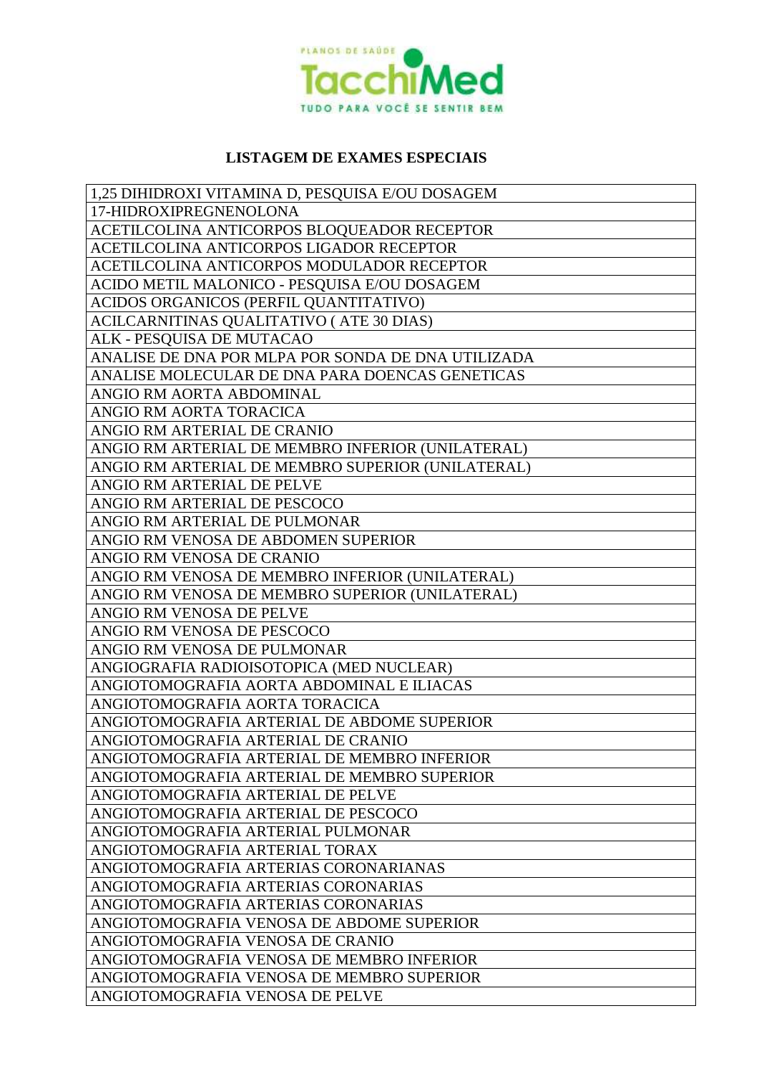

## **LISTAGEM DE EXAMES ESPECIAIS**

| 1,25 DIHIDROXI VITAMINA D, PESQUISA E/OU DOSAGEM   |
|----------------------------------------------------|
| 17-HIDROXIPREGNENOLONA                             |
| ACETILCOLINA ANTICORPOS BLOQUEADOR RECEPTOR        |
| ACETILCOLINA ANTICORPOS LIGADOR RECEPTOR           |
| ACETILCOLINA ANTICORPOS MODULADOR RECEPTOR         |
| ACIDO METIL MALONICO - PESQUISA E/OU DOSAGEM       |
| ACIDOS ORGANICOS (PERFIL QUANTITATIVO)             |
| ACILCARNITINAS QUALITATIVO (ATE 30 DIAS)           |
| ALK - PESQUISA DE MUTACAO                          |
| ANALISE DE DNA POR MLPA POR SONDA DE DNA UTILIZADA |
| ANALISE MOLECULAR DE DNA PARA DOENCAS GENETICAS    |
| ANGIO RM AORTA ABDOMINAL                           |
| ANGIO RM AORTA TORACICA                            |
| ANGIO RM ARTERIAL DE CRANIO                        |
| ANGIO RM ARTERIAL DE MEMBRO INFERIOR (UNILATERAL)  |
| ANGIO RM ARTERIAL DE MEMBRO SUPERIOR (UNILATERAL)  |
| ANGIO RM ARTERIAL DE PELVE                         |
| ANGIO RM ARTERIAL DE PESCOCO                       |
| ANGIO RM ARTERIAL DE PULMONAR                      |
| ANGIO RM VENOSA DE ABDOMEN SUPERIOR                |
| ANGIO RM VENOSA DE CRANIO                          |
| ANGIO RM VENOSA DE MEMBRO INFERIOR (UNILATERAL)    |
| ANGIO RM VENOSA DE MEMBRO SUPERIOR (UNILATERAL)    |
| ANGIO RM VENOSA DE PELVE                           |
| ANGIO RM VENOSA DE PESCOCO                         |
| ANGIO RM VENOSA DE PULMONAR                        |
| ANGIOGRAFIA RADIOISOTOPICA (MED NUCLEAR)           |
| ANGIOTOMOGRAFIA AORTA ABDOMINAL E ILIACAS          |
| ANGIOTOMOGRAFIA AORTA TORACICA                     |
| ANGIOTOMOGRAFIA ARTERIAL DE ABDOME SUPERIOR        |
| ANGIOTOMOGRAFIA ARTERIAL DE CRANIO                 |
| ANGIOTOMOGRAFIA ARTERIAL DE MEMBRO INFERIOR        |
| ANGIOTOMOGRAFIA ARTERIAL DE MEMBRO SUPERIOR        |
| ANGIOTOMOGRAFIA ARTERIAL DE PELVE                  |
| ANGIOTOMOGRAFIA ARTERIAL DE PESCOCO                |
| ANGIOTOMOGRAFIA ARTERIAL PULMONAR                  |
| ANGIOTOMOGRAFIA ARTERIAL TORAX                     |
| ANGIOTOMOGRAFIA ARTERIAS CORONARIANAS              |
| ANGIOTOMOGRAFIA ARTERIAS CORONARIAS                |
| ANGIOTOMOGRAFIA ARTERIAS CORONARIAS                |
| ANGIOTOMOGRAFIA VENOSA DE ABDOME SUPERIOR          |
| ANGIOTOMOGRAFIA VENOSA DE CRANIO                   |
| ANGIOTOMOGRAFIA VENOSA DE MEMBRO INFERIOR          |
| ANGIOTOMOGRAFIA VENOSA DE MEMBRO SUPERIOR          |
| ANGIOTOMOGRAFIA VENOSA DE PELVE                    |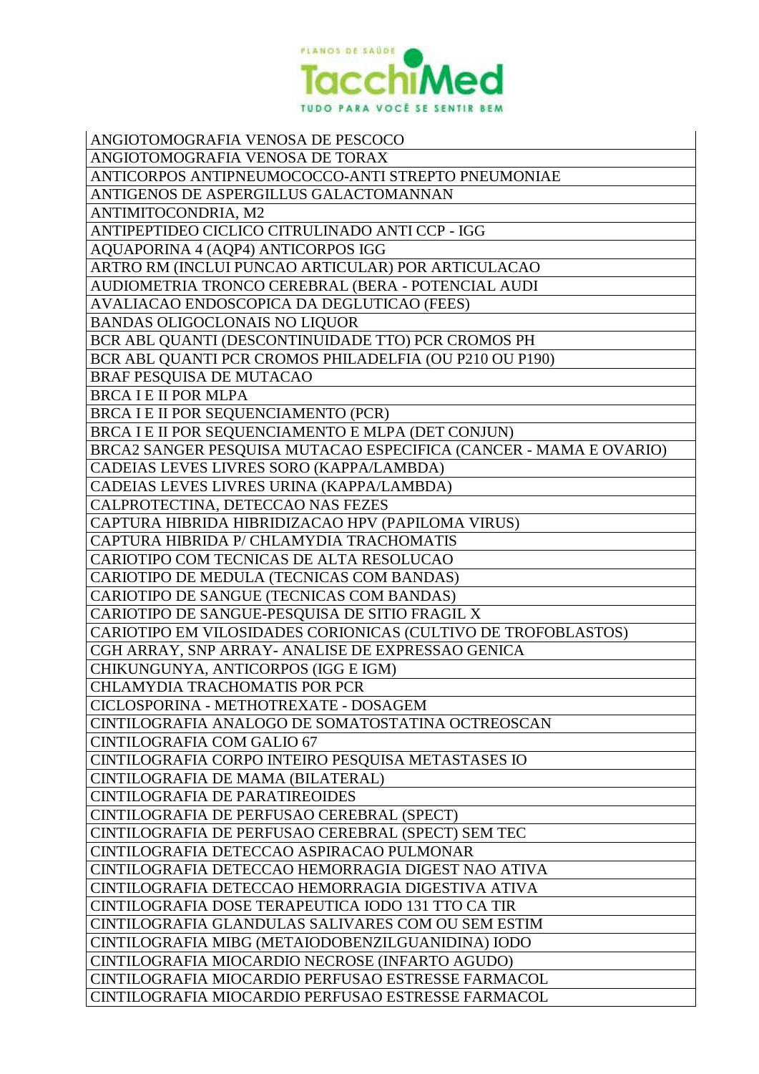

| ANGIOTOMOGRAFIA VENOSA DE PESCOCO                                 |
|-------------------------------------------------------------------|
| ANGIOTOMOGRAFIA VENOSA DE TORAX                                   |
| ANTICORPOS ANTIPNEUMOCOCCO-ANTI STREPTO PNEUMONIAE                |
| ANTIGENOS DE ASPERGILLUS GALACTOMANNAN                            |
| ANTIMITOCONDRIA, M2                                               |
| ANTIPEPTIDEO CICLICO CITRULINADO ANTI CCP - IGG                   |
| AQUAPORINA 4 (AQP4) ANTICORPOS IGG                                |
| ARTRO RM (INCLUI PUNCAO ARTICULAR) POR ARTICULACAO                |
| AUDIOMETRIA TRONCO CEREBRAL (BERA - POTENCIAL AUDI                |
| AVALIACAO ENDOSCOPICA DA DEGLUTICAO (FEES)                        |
| <b>BANDAS OLIGOCLONAIS NO LIQUOR</b>                              |
| BCR ABL QUANTI (DESCONTINUIDADE TTO) PCR CROMOS PH                |
| BCR ABL QUANTI PCR CROMOS PHILADELFIA (OU P210 OU P190)           |
| <b>BRAF PESQUISA DE MUTACAO</b>                                   |
| <b>BRCA I E II POR MLPA</b>                                       |
| BRCA I E II POR SEQUENCIAMENTO (PCR)                              |
| BRCA I E II POR SEQUENCIAMENTO E MLPA (DET CONJUN)                |
| BRCA2 SANGER PESQUISA MUTACAO ESPECIFICA (CANCER - MAMA E OVARIO) |
| CADEIAS LEVES LIVRES SORO (KAPPA/LAMBDA)                          |
| CADEIAS LEVES LIVRES URINA (KAPPA/LAMBDA)                         |
| CALPROTECTINA, DETECCAO NAS FEZES                                 |
| CAPTURA HIBRIDA HIBRIDIZACAO HPV (PAPILOMA VIRUS)                 |
| CAPTURA HIBRIDA P/ CHLAMYDIA TRACHOMATIS                          |
| CARIOTIPO COM TECNICAS DE ALTA RESOLUCAO                          |
| CARIOTIPO DE MEDULA (TECNICAS COM BANDAS)                         |
| CARIOTIPO DE SANGUE (TECNICAS COM BANDAS)                         |
| CARIOTIPO DE SANGUE-PESQUISA DE SITIO FRAGIL X                    |
| CARIOTIPO EM VILOSIDADES CORIONICAS (CULTIVO DE TROFOBLASTOS)     |
| CGH ARRAY, SNP ARRAY- ANALISE DE EXPRESSAO GENICA                 |
| CHIKUNGUNYA, ANTICORPOS (IGG E IGM)                               |
| <b>CHLAMYDIA TRACHOMATIS POR PCR</b>                              |
| CICLOSPORINA - METHOTREXATE - DOSAGEM                             |
| CINTILOGRAFIA ANALOGO DE SOMATOSTATINA OCTREOSCAN                 |
| <b>CINTILOGRAFIA COM GALIO 67</b>                                 |
| CINTILOGRAFIA CORPO INTEIRO PESQUISA METASTASES IO                |
| CINTILOGRAFIA DE MAMA (BILATERAL)                                 |
| <b>CINTILOGRAFIA DE PARATIREOIDES</b>                             |
| CINTILOGRAFIA DE PERFUSAO CEREBRAL (SPECT)                        |
| CINTILOGRAFIA DE PERFUSAO CEREBRAL (SPECT) SEM TEC                |
| CINTILOGRAFIA DETECCAO ASPIRACAO PULMONAR                         |
| CINTILOGRAFIA DETECCAO HEMORRAGIA DIGEST NAO ATIVA                |
| CINTILOGRAFIA DETECCAO HEMORRAGIA DIGESTIVA ATIVA                 |
| CINTILOGRAFIA DOSE TERAPEUTICA IODO 131 TTO CA TIR                |
| CINTILOGRAFIA GLANDULAS SALIVARES COM OU SEM ESTIM                |
| CINTILOGRAFIA MIBG (METAIODOBENZILGUANIDINA) IODO                 |
| CINTILOGRAFIA MIOCARDIO NECROSE (INFARTO AGUDO)                   |
| CINTILOGRAFIA MIOCARDIO PERFUSAO ESTRESSE FARMACOL                |
| CINTILOGRAFIA MIOCARDIO PERFUSAO ESTRESSE FARMACOL                |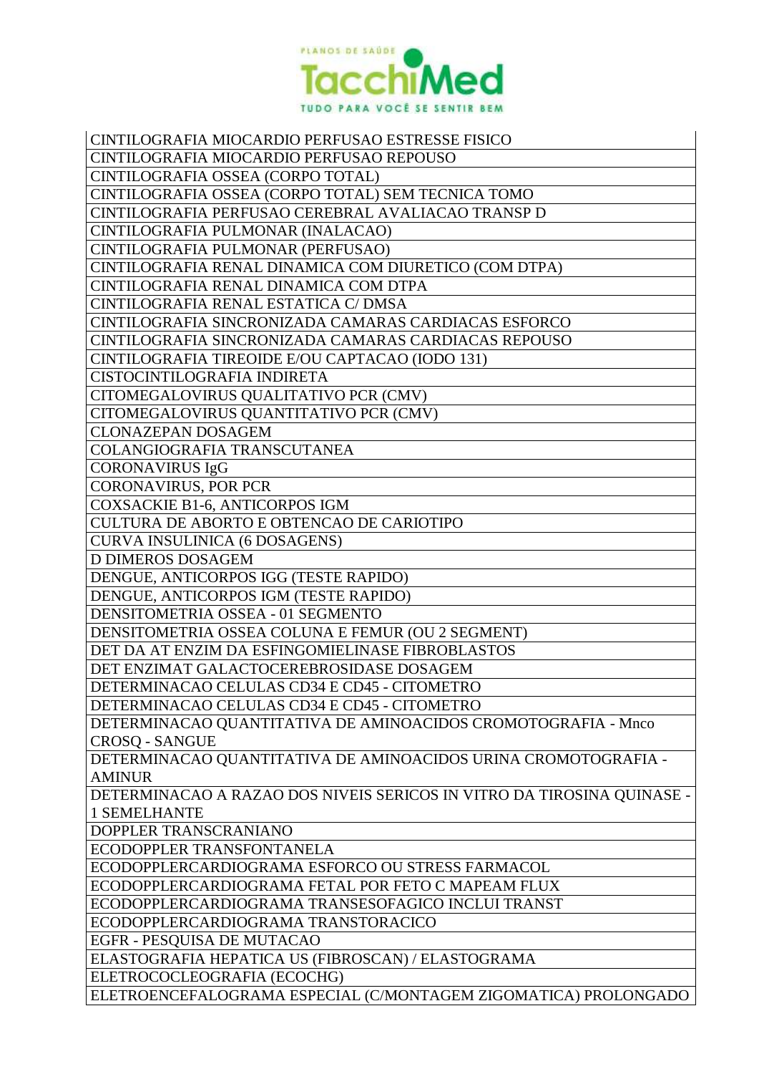

| CINTILOGRAFIA MIOCARDIO PERFUSAO ESTRESSE FISICO                       |
|------------------------------------------------------------------------|
| CINTILOGRAFIA MIOCARDIO PERFUSAO REPOUSO                               |
| CINTILOGRAFIA OSSEA (CORPO TOTAL)                                      |
| CINTILOGRAFIA OSSEA (CORPO TOTAL) SEM TECNICA TOMO                     |
| CINTILOGRAFIA PERFUSAO CEREBRAL AVALIACAO TRANSP D                     |
| CINTILOGRAFIA PULMONAR (INALACAO)                                      |
| CINTILOGRAFIA PULMONAR (PERFUSAO)                                      |
| CINTILOGRAFIA RENAL DINAMICA COM DIURETICO (COM DTPA)                  |
| CINTILOGRAFIA RENAL DINAMICA COM DTPA                                  |
| CINTILOGRAFIA RENAL ESTATICA C/ DMSA                                   |
| CINTILOGRAFIA SINCRONIZADA CAMARAS CARDIACAS ESFORCO                   |
| CINTILOGRAFIA SINCRONIZADA CAMARAS CARDIACAS REPOUSO                   |
| CINTILOGRAFIA TIREOIDE E/OU CAPTACAO (IODO 131)                        |
| CISTOCINTILOGRAFIA INDIRETA                                            |
| CITOMEGALOVIRUS QUALITATIVO PCR (CMV)                                  |
| CITOMEGALOVIRUS QUANTITATIVO PCR (CMV)                                 |
| <b>CLONAZEPAN DOSAGEM</b>                                              |
| COLANGIOGRAFIA TRANSCUTANEA                                            |
| <b>CORONAVIRUS IgG</b>                                                 |
| <b>CORONAVIRUS, POR PCR</b>                                            |
| <b>COXSACKIE B1-6, ANTICORPOS IGM</b>                                  |
| <b>CULTURA DE ABORTO E OBTENCAO DE CARIOTIPO</b>                       |
| <b>CURVA INSULINICA (6 DOSAGENS)</b>                                   |
| <b>D DIMEROS DOSAGEM</b>                                               |
| DENGUE, ANTICORPOS IGG (TESTE RAPIDO)                                  |
| DENGUE, ANTICORPOS IGM (TESTE RAPIDO)                                  |
| DENSITOMETRIA OSSEA - 01 SEGMENTO                                      |
| DENSITOMETRIA OSSEA COLUNA E FEMUR (OU 2 SEGMENT)                      |
| DET DA AT ENZIM DA ESFINGOMIELINASE FIBROBLASTOS                       |
| DET ENZIMAT GALACTOCEREBROSIDASE DOSAGEM                               |
| DETERMINACAO CELULAS CD34 E CD45 - CITOMETRO                           |
| DETERMINACAO CELULAS CD34 E CD45 - CITOMETRO                           |
| DETERMINACAO QUANTITATIVA DE AMINOACIDOS CROMOTOGRAFIA - Mnco          |
| <b>CROSQ - SANGUE</b>                                                  |
| DETERMINACAO QUANTITATIVA DE AMINOACIDOS URINA CROMOTOGRAFIA -         |
| <b>AMINUR</b>                                                          |
| DETERMINACAO A RAZAO DOS NIVEIS SERICOS IN VITRO DA TIROSINA QUINASE - |
| <b>1 SEMELHANTE</b>                                                    |
| DOPPLER TRANSCRANIANO                                                  |
| ECODOPPLER TRANSFONTANELA                                              |
| ECODOPPLERCARDIOGRAMA ESFORCO OU STRESS FARMACOL                       |
| ECODOPPLERCARDIOGRAMA FETAL POR FETO C MAPEAM FLUX                     |
| ECODOPPLERCARDIOGRAMA TRANSESOFAGICO INCLUI TRANST                     |
| ECODOPPLERCARDIOGRAMA TRANSTORACICO                                    |
| EGFR - PESQUISA DE MUTACAO                                             |
| ELASTOGRAFIA HEPATICA US (FIBROSCAN) / ELASTOGRAMA                     |
| ELETROCOCLEOGRAFIA (ECOCHG)                                            |
| ELETROENCEFALOGRAMA ESPECIAL (C/MONTAGEM ZIGOMATICA) PROLONGADO        |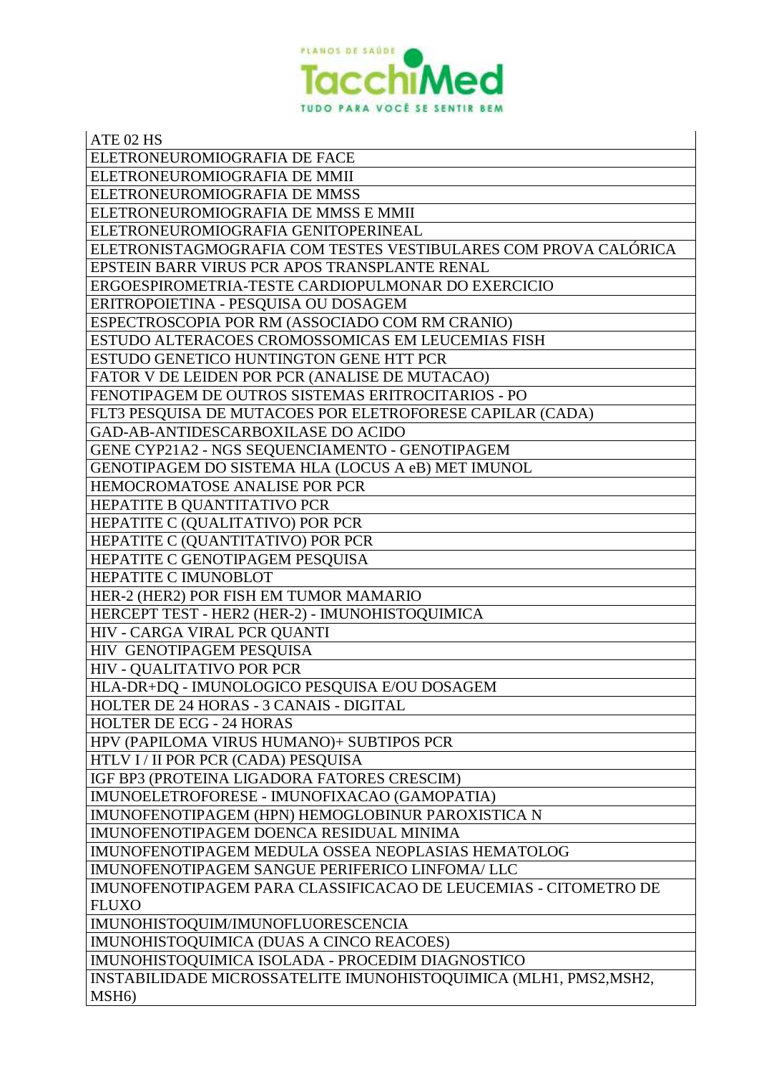

| ATE 02 HS                                                        |
|------------------------------------------------------------------|
| ELETRONEUROMIOGRAFIA DE FACE                                     |
| ELETRONEUROMIOGRAFIA DE MMII                                     |
| ELETRONEUROMIOGRAFIA DE MMSS                                     |
| ELETRONEUROMIOGRAFIA DE MMSS E MMII                              |
| ELETRONEUROMIOGRAFIA GENITOPERINEAL                              |
| ELETRONISTAGMOGRAFIA COM TESTES VESTIBULARES COM PROVA CALÓRICA  |
| EPSTEIN BARR VIRUS PCR APOS TRANSPLANTE RENAL                    |
| ERGOESPIROMETRIA-TESTE CARDIOPULMONAR DO EXERCICIO               |
| ERITROPOIETINA - PESQUISA OU DOSAGEM                             |
| ESPECTROSCOPIA POR RM (ASSOCIADO COM RM CRANIO)                  |
| ESTUDO ALTERACOES CROMOSSOMICAS EM LEUCEMIAS FISH                |
| ESTUDO GENETICO HUNTINGTON GENE HTT PCR                          |
| FATOR V DE LEIDEN POR PCR (ANALISE DE MUTACAO)                   |
| FENOTIPAGEM DE OUTROS SISTEMAS ERITROCITARIOS - PO               |
| FLT3 PESQUISA DE MUTACOES POR ELETROFORESE CAPILAR (CADA)        |
| GAD-AB-ANTIDESCARBOXILASE DO ACIDO                               |
| GENE CYP21A2 - NGS SEQUENCIAMENTO - GENOTIPAGEM                  |
| GENOTIPAGEM DO SISTEMA HLA (LOCUS A eB) MET IMUNOL               |
| HEMOCROMATOSE ANALISE POR PCR                                    |
| HEPATITE B QUANTITATIVO PCR                                      |
| HEPATITE C (QUALITATIVO) POR PCR                                 |
| HEPATITE C (QUANTITATIVO) POR PCR                                |
| HEPATITE C GENOTIPAGEM PESQUISA                                  |
| HEPATITE C IMUNOBLOT                                             |
| HER-2 (HER2) POR FISH EM TUMOR MAMARIO                           |
| HERCEPT TEST - HER2 (HER-2) - IMUNOHISTOQUIMICA                  |
| HIV - CARGA VIRAL PCR QUANTI                                     |
| HIV GENOTIPAGEM PESQUISA                                         |
| <b>HIV - QUALITATIVO POR PCR</b>                                 |
| HLA-DR+DQ - IMUNOLOGICO PESQUISA E/OU DOSAGEM                    |
| HOLTER DE 24 HORAS - 3 CANAIS - DIGITAL                          |
| <b>HOLTER DE ECG - 24 HORAS</b>                                  |
| HPV (PAPILOMA VIRUS HUMANO)+ SUBTIPOS PCR                        |
| HTLV I / II POR PCR (CADA) PESQUISA                              |
| IGF BP3 (PROTEINA LIGADORA FATORES CRESCIM)                      |
| IMUNOELETROFORESE - IMUNOFIXACAO (GAMOPATIA)                     |
| IMUNOFENOTIPAGEM (HPN) HEMOGLOBINUR PAROXISTICA N                |
| IMUNOFENOTIPAGEM DOENCA RESIDUAL MINIMA                          |
| IMUNOFENOTIPAGEM MEDULA OSSEA NEOPLASIAS HEMATOLOG               |
| IMUNOFENOTIPAGEM SANGUE PERIFERICO LINFOMA/ LLC                  |
| IMUNOFENOTIPAGEM PARA CLASSIFICACAO DE LEUCEMIAS - CITOMETRO DE  |
| <b>FLUXO</b>                                                     |
| IMUNOHISTOQUIM/IMUNOFLUORESCENCIA                                |
| IMUNOHISTOQUIMICA (DUAS A CINCO REACOES)                         |
| IMUNOHISTOQUIMICA ISOLADA - PROCEDIM DIAGNOSTICO                 |
| INSTABILIDADE MICROSSATELITE IMUNOHISTOQUIMICA (MLH1, PMS2,MSH2, |
| MSH <sub>6</sub> )                                               |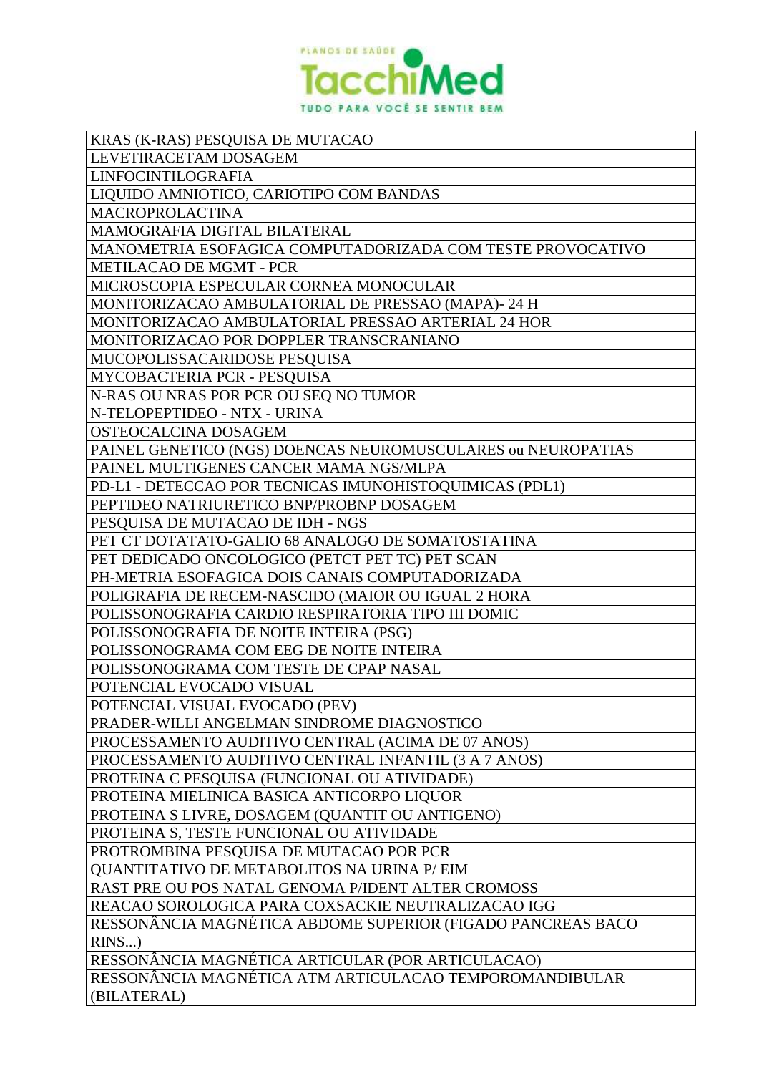

| KRAS (K-RAS) PESQUISA DE MUTACAO                             |
|--------------------------------------------------------------|
| LEVETIRACETAM DOSAGEM                                        |
| LINFOCINTILOGRAFIA                                           |
| LIQUIDO AMNIOTICO, CARIOTIPO COM BANDAS                      |
| MACROPROLACTINA                                              |
| MAMOGRAFIA DIGITAL BILATERAL                                 |
| MANOMETRIA ESOFAGICA COMPUTADORIZADA COM TESTE PROVOCATIVO   |
| <b>METILACAO DE MGMT - PCR</b>                               |
| MICROSCOPIA ESPECULAR CORNEA MONOCULAR                       |
| MONITORIZACAO AMBULATORIAL DE PRESSAO (MAPA)-24 H            |
| MONITORIZACAO AMBULATORIAL PRESSAO ARTERIAL 24 HOR           |
| MONITORIZACAO POR DOPPLER TRANSCRANIANO                      |
| MUCOPOLISSACARIDOSE PESQUISA                                 |
| MYCOBACTERIA PCR - PESQUISA                                  |
| N-RAS OU NRAS POR PCR OU SEQ NO TUMOR                        |
| N-TELOPEPTIDEO - NTX - URINA                                 |
| OSTEOCALCINA DOSAGEM                                         |
| PAINEL GENETICO (NGS) DOENCAS NEUROMUSCULARES ou NEUROPATIAS |
| PAINEL MULTIGENES CANCER MAMA NGS/MLPA                       |
| PD-L1 - DETECCAO POR TECNICAS IMUNOHISTOQUIMICAS (PDL1)      |
| PEPTIDEO NATRIURETICO BNP/PROBNP DOSAGEM                     |
| PESQUISA DE MUTACAO DE IDH - NGS                             |
| PET CT DOTATATO-GALIO 68 ANALOGO DE SOMATOSTATINA            |
| PET DEDICADO ONCOLOGICO (PETCT PET TC) PET SCAN              |
| PH-METRIA ESOFAGICA DOIS CANAIS COMPUTADORIZADA              |
| POLIGRAFIA DE RECEM-NASCIDO (MAIOR OU IGUAL 2 HORA           |
| POLISSONOGRAFIA CARDIO RESPIRATORIA TIPO III DOMIC           |
| POLISSONOGRAFIA DE NOITE INTEIRA (PSG)                       |
| POLISSONOGRAMA COM EEG DE NOITE INTEIRA                      |
| POLISSONOGRAMA COM TESTE DE CPAP NASAL                       |
| POTENCIAL EVOCADO VISUAL                                     |
| POTENCIAL VISUAL EVOCADO (PEV)                               |
| PRADER-WILLI ANGELMAN SINDROME DIAGNOSTICO                   |
| PROCESSAMENTO AUDITIVO CENTRAL (ACIMA DE 07 ANOS)            |
| PROCESSAMENTO AUDITIVO CENTRAL INFANTIL (3 A 7 ANOS)         |
| PROTEINA C PESQUISA (FUNCIONAL OU ATIVIDADE)                 |
| PROTEINA MIELINICA BASICA ANTICORPO LIQUOR                   |
| PROTEINA S LIVRE, DOSAGEM (QUANTIT OU ANTIGENO)              |
| PROTEINA S, TESTE FUNCIONAL OU ATIVIDADE                     |
| PROTROMBINA PESQUISA DE MUTACAO POR PCR                      |
| QUANTITATIVO DE METABOLITOS NA URINA P/ EIM                  |
| RAST PRE OU POS NATAL GENOMA P/IDENT ALTER CROMOSS           |
| REACAO SOROLOGICA PARA COXSACKIE NEUTRALIZACAO IGG           |
| RESSONÂNCIA MAGNÉTICA ABDOME SUPERIOR (FIGADO PANCREAS BACO  |
| $RINS$ )                                                     |
| RESSONÂNCIA MAGNÉTICA ARTICULAR (POR ARTICULACAO)            |
| RESSONÂNCIA MAGNÉTICA ATM ARTICULACAO TEMPOROMANDIBULAR      |
| (BILATERAL)                                                  |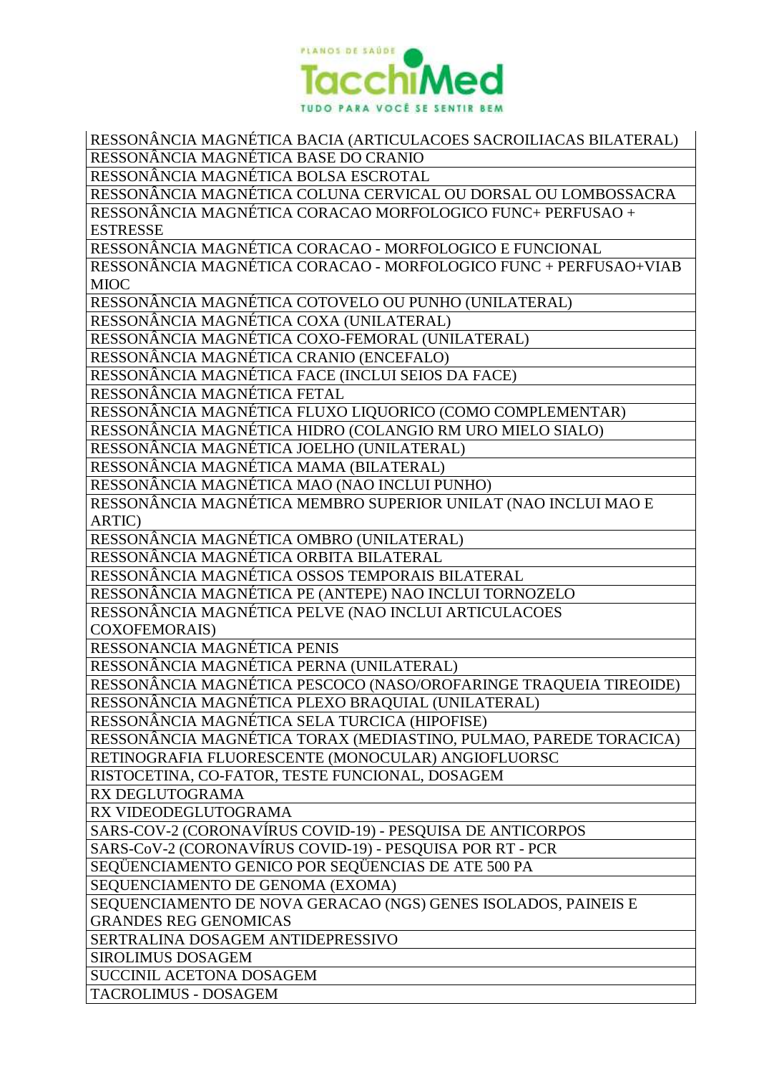

RESSONÂNCIA MAGNÉTICA BACIA (ARTICULACOES SACROILIACAS BILATERAL) RESSONÂNCIA MAGNÉTICA BASE DO CRANIO RESSONÂNCIA MAGNÉTICA BOLSA ESCROTAL RESSONÂNCIA MAGNÉTICA COLUNA CERVICAL OU DORSAL OU LOMBOSSACRA RESSONÂNCIA MAGNÉTICA CORACAO MORFOLOGICO FUNC+ PERFUSAO + ESTRESSE RESSONÂNCIA MAGNÉTICA CORACAO - MORFOLOGICO E FUNCIONAL RESSONÂNCIA MAGNÉTICA CORACAO - MORFOLOGICO FUNC + PERFUSAO+VIAB MIOC RESSONÂNCIA MAGNÉTICA COTOVELO OU PUNHO (UNILATERAL) RESSONÂNCIA MAGNÉTICA COXA (UNILATERAL) RESSONÂNCIA MAGNÉTICA COXO-FEMORAL (UNILATERAL) RESSONÂNCIA MAGNÉTICA CRANIO (ENCEFALO) RESSONÂNCIA MAGNÉTICA FACE (INCLUI SEIOS DA FACE) RESSONÂNCIA MAGNÉTICA FETAL RESSONÂNCIA MAGNÉTICA FLUXO LIQUORICO (COMO COMPLEMENTAR) RESSONÂNCIA MAGNÉTICA HIDRO (COLANGIO RM URO MIELO SIALO) RESSONÂNCIA MAGNÉTICA JOELHO (UNILATERAL) RESSONÂNCIA MAGNÉTICA MAMA (BILATERAL) RESSONÂNCIA MAGNÉTICA MAO (NAO INCLUI PUNHO) RESSONÂNCIA MAGNÉTICA MEMBRO SUPERIOR UNILAT (NAO INCLUI MAO E ARTIC) RESSONÂNCIA MAGNÉTICA OMBRO (UNILATERAL) RESSONÂNCIA MAGNÉTICA ORBITA BILATERAL RESSONÂNCIA MAGNÉTICA OSSOS TEMPORAIS BILATERAL RESSONÂNCIA MAGNÉTICA PE (ANTEPE) NAO INCLUI TORNOZELO RESSONÂNCIA MAGNÉTICA PELVE (NAO INCLUI ARTICULACOES COXOFEMORAIS) RESSONANCIA MAGNÉTICA PENIS RESSONÂNCIA MAGNÉTICA PERNA (UNILATERAL) RESSONÂNCIA MAGNÉTICA PESCOCO (NASO/OROFARINGE TRAQUEIA TIREOIDE) RESSONÂNCIA MAGNÉTICA PLEXO BRAQUIAL (UNILATERAL) RESSONÂNCIA MAGNÉTICA SELA TURCICA (HIPOFISE) RESSONÂNCIA MAGNÉTICA TORAX (MEDIASTINO, PULMAO, PAREDE TORACICA) RETINOGRAFIA FLUORESCENTE (MONOCULAR) ANGIOFLUORSC RISTOCETINA, CO-FATOR, TESTE FUNCIONAL, DOSAGEM RX DEGLUTOGRAMA RX VIDEODEGLUTOGRAMA SARS-COV-2 (CORONAVÍRUS COVID-19) - PESQUISA DE ANTICORPOS SARS-CoV-2 (CORONAVÍRUS COVID-19) - PESQUISA POR RT - PCR SEQÜENCIAMENTO GENICO POR SEQÜENCIAS DE ATE 500 PA SEQUENCIAMENTO DE GENOMA (EXOMA) SEQUENCIAMENTO DE NOVA GERACAO (NGS) GENES ISOLADOS, PAINEIS E GRANDES REG GENOMICAS SERTRALINA DOSAGEM ANTIDEPRESSIVO SIROLIMUS DOSAGEM SUCCINIL ACETONA DOSAGEM TACROLIMUS - DOSAGEM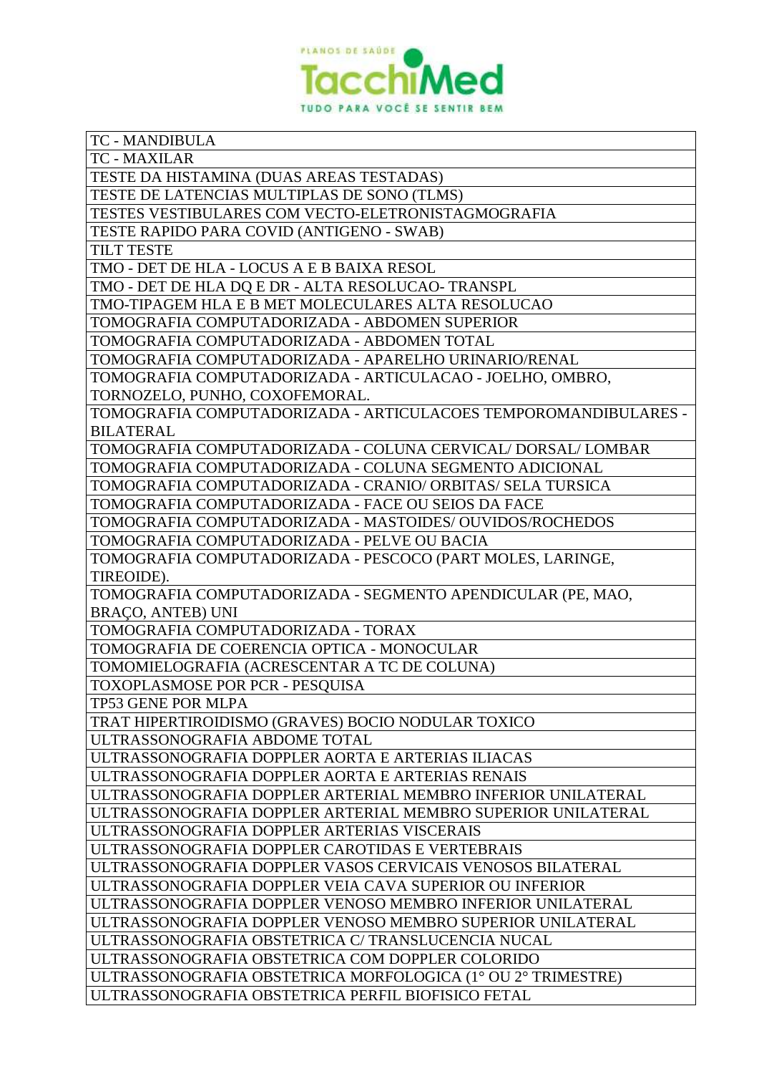

| TC - MANDIBULA                                                  |
|-----------------------------------------------------------------|
| <b>TC - MAXILAR</b>                                             |
| TESTE DA HISTAMINA (DUAS AREAS TESTADAS)                        |
| TESTE DE LATENCIAS MULTIPLAS DE SONO (TLMS)                     |
| TESTES VESTIBULARES COM VECTO-ELETRONISTAGMOGRAFIA              |
| TESTE RAPIDO PARA COVID (ANTIGENO - SWAB)                       |
| <b>TILT TESTE</b>                                               |
| TMO - DET DE HLA - LOCUS A E B BAIXA RESOL                      |
| TMO - DET DE HLA DQ E DR - ALTA RESOLUCAO- TRANSPL              |
| TMO-TIPAGEM HLA E B MET MOLECULARES ALTA RESOLUCAO              |
| TOMOGRAFIA COMPUTADORIZADA - ABDOMEN SUPERIOR                   |
| TOMOGRAFIA COMPUTADORIZADA - ABDOMEN TOTAL                      |
| TOMOGRAFIA COMPUTADORIZADA - APARELHO URINARIO/RENAL            |
| TOMOGRAFIA COMPUTADORIZADA - ARTICULACAO - JOELHO, OMBRO,       |
| TORNOZELO, PUNHO, COXOFEMORAL.                                  |
| TOMOGRAFIA COMPUTADORIZADA - ARTICULACOES TEMPOROMANDIBULARES - |
| <b>BILATERAL</b>                                                |
| TOMOGRAFIA COMPUTADORIZADA - COLUNA CERVICAL/ DORSAL/ LOMBAR    |
| TOMOGRAFIA COMPUTADORIZADA - COLUNA SEGMENTO ADICIONAL          |
| TOMOGRAFIA COMPUTADORIZADA - CRANIO/ ORBITAS/ SELA TURSICA      |
| TOMOGRAFIA COMPUTADORIZADA - FACE OU SEIOS DA FACE              |
| TOMOGRAFIA COMPUTADORIZADA - MASTOIDES/ OUVIDOS/ROCHEDOS        |
| TOMOGRAFIA COMPUTADORIZADA - PELVE OU BACIA                     |
| TOMOGRAFIA COMPUTADORIZADA - PESCOCO (PART MOLES, LARINGE,      |
| TIREOIDE).                                                      |
| TOMOGRAFIA COMPUTADORIZADA - SEGMENTO APENDICULAR (PE, MAO,     |
| BRAÇO, ANTEB) UNI                                               |
| TOMOGRAFIA COMPUTADORIZADA - TORAX                              |
| TOMOGRAFIA DE COERENCIA OPTICA - MONOCULAR                      |
| TOMOMIELOGRAFIA (ACRESCENTAR A TC DE COLUNA)                    |
| TOXOPLASMOSE POR PCR - PESQUISA                                 |
| TP53 GENE POR MLPA                                              |
|                                                                 |
| TRAT HIPERTIROIDISMO (GRAVES) BOCIO NODULAR TOXICO              |
| ULTRASSONOGRAFIA ABDOME TOTAL                                   |
| ULTRASSONOGRAFIA DOPPLER AORTA E ARTERIAS ILIACAS               |
| ULTRASSONOGRAFIA DOPPLER AORTA E ARTERIAS RENAIS                |
| ULTRASSONOGRAFIA DOPPLER ARTERIAL MEMBRO INFERIOR UNILATERAL    |
| ULTRASSONOGRAFIA DOPPLER ARTERIAL MEMBRO SUPERIOR UNILATERAL    |
| ULTRASSONOGRAFIA DOPPLER ARTERIAS VISCERAIS                     |
| ULTRASSONOGRAFIA DOPPLER CAROTIDAS E VERTEBRAIS                 |
| ULTRASSONOGRAFIA DOPPLER VASOS CERVICAIS VENOSOS BILATERAL      |
| ULTRASSONOGRAFIA DOPPLER VEIA CAVA SUPERIOR OU INFERIOR         |
| ULTRASSONOGRAFIA DOPPLER VENOSO MEMBRO INFERIOR UNILATERAL      |
| ULTRASSONOGRAFIA DOPPLER VENOSO MEMBRO SUPERIOR UNILATERAL      |
| ULTRASSONOGRAFIA OBSTETRICA C/ TRANSLUCENCIA NUCAL              |
| ULTRASSONOGRAFIA OBSTETRICA COM DOPPLER COLORIDO                |
| ULTRASSONOGRAFIA OBSTETRICA MORFOLOGICA (1° OU 2° TRIMESTRE)    |
| ULTRASSONOGRAFIA OBSTETRICA PERFIL BIOFISICO FETAL              |